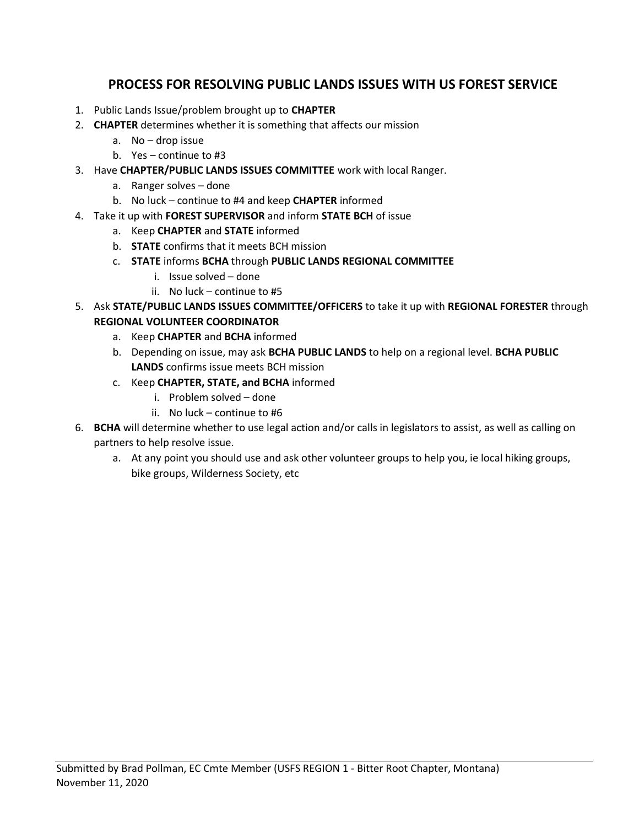## PROCESS FOR RESOLVING PUBLIC LANDS ISSUES WITH US FOREST SERVICE

- 1. Public Lands Issue/problem brought up to CHAPTER
- 2. **CHAPTER** determines whether it is something that affects our mission
	- a. No drop issue
	- b. Yes continue to #3
- 3. Have CHAPTER/PUBLIC LANDS ISSUES COMMITTEE work with local Ranger.
	- a. Ranger solves done
	- b. No luck continue to #4 and keep CHAPTER informed
- 4. Take it up with FOREST SUPERVISOR and inform STATE BCH of issue
	- a. Keep CHAPTER and STATE informed
	- b. STATE confirms that it meets BCH mission
	- c. STATE informs BCHA through PUBLIC LANDS REGIONAL COMMITTEE
		- i. Issue solved done
		- ii. No luck continue to #5
- 5. Ask STATE/PUBLIC LANDS ISSUES COMMITTEE/OFFICERS to take it up with REGIONAL FORESTER through REGIONAL VOLUNTEER COORDINATOR
	- a. Keep CHAPTER and BCHA informed
	- b. Depending on issue, may ask BCHA PUBLIC LANDS to help on a regional level. BCHA PUBLIC LANDS confirms issue meets BCH mission
	- c. Keep CHAPTER, STATE, and BCHA informed
		- i. Problem solved done
		- ii. No luck continue to #6
- 6. BCHA will determine whether to use legal action and/or calls in legislators to assist, as well as calling on partners to help resolve issue.
	- a. At any point you should use and ask other volunteer groups to help you, ie local hiking groups, bike groups, Wilderness Society, etc